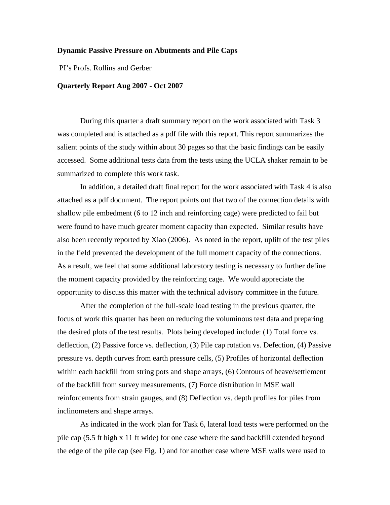## **Dynamic Passive Pressure on Abutments and Pile Caps**

PI's Profs. Rollins and Gerber

## **Quarterly Report Aug 2007 - Oct 2007**

During this quarter a draft summary report on the work associated with Task 3 was completed and is attached as a pdf file with this report. This report summarizes the salient points of the study within about 30 pages so that the basic findings can be easily accessed. Some additional tests data from the tests using the UCLA shaker remain to be summarized to complete this work task.

In addition, a detailed draft final report for the work associated with Task 4 is also attached as a pdf document. The report points out that two of the connection details with shallow pile embedment (6 to 12 inch and reinforcing cage) were predicted to fail but were found to have much greater moment capacity than expected. Similar results have also been recently reported by Xiao (2006). As noted in the report, uplift of the test piles in the field prevented the development of the full moment capacity of the connections. As a result, we feel that some additional laboratory testing is necessary to further define the moment capacity provided by the reinforcing cage. We would appreciate the opportunity to discuss this matter with the technical advisory committee in the future.

After the completion of the full-scale load testing in the previous quarter, the focus of work this quarter has been on reducing the voluminous test data and preparing the desired plots of the test results. Plots being developed include: (1) Total force vs. deflection, (2) Passive force vs. deflection, (3) Pile cap rotation vs. Defection, (4) Passive pressure vs. depth curves from earth pressure cells, (5) Profiles of horizontal deflection within each backfill from string pots and shape arrays, (6) Contours of heave/settlement of the backfill from survey measurements, (7) Force distribution in MSE wall reinforcements from strain gauges, and (8) Deflection vs. depth profiles for piles from inclinometers and shape arrays.

As indicated in the work plan for Task 6, lateral load tests were performed on the pile cap (5.5 ft high x 11 ft wide) for one case where the sand backfill extended beyond the edge of the pile cap (see Fig. 1) and for another case where MSE walls were used to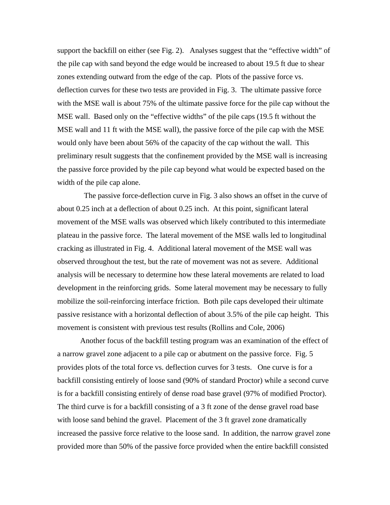support the backfill on either (see Fig. 2). Analyses suggest that the "effective width" of the pile cap with sand beyond the edge would be increased to about 19.5 ft due to shear zones extending outward from the edge of the cap. Plots of the passive force vs. deflection curves for these two tests are provided in Fig. 3. The ultimate passive force with the MSE wall is about 75% of the ultimate passive force for the pile cap without the MSE wall. Based only on the "effective widths" of the pile caps (19.5 ft without the MSE wall and 11 ft with the MSE wall), the passive force of the pile cap with the MSE would only have been about 56% of the capacity of the cap without the wall. This preliminary result suggests that the confinement provided by the MSE wall is increasing the passive force provided by the pile cap beyond what would be expected based on the width of the pile cap alone.

 The passive force-deflection curve in Fig. 3 also shows an offset in the curve of about 0.25 inch at a deflection of about 0.25 inch. At this point, significant lateral movement of the MSE walls was observed which likely contributed to this intermediate plateau in the passive force. The lateral movement of the MSE walls led to longitudinal cracking as illustrated in Fig. 4. Additional lateral movement of the MSE wall was observed throughout the test, but the rate of movement was not as severe. Additional analysis will be necessary to determine how these lateral movements are related to load development in the reinforcing grids. Some lateral movement may be necessary to fully mobilize the soil-reinforcing interface friction. Both pile caps developed their ultimate passive resistance with a horizontal deflection of about 3.5% of the pile cap height. This movement is consistent with previous test results (Rollins and Cole, 2006)

Another focus of the backfill testing program was an examination of the effect of a narrow gravel zone adjacent to a pile cap or abutment on the passive force. Fig. 5 provides plots of the total force vs. deflection curves for 3 tests. One curve is for a backfill consisting entirely of loose sand (90% of standard Proctor) while a second curve is for a backfill consisting entirely of dense road base gravel (97% of modified Proctor). The third curve is for a backfill consisting of a 3 ft zone of the dense gravel road base with loose sand behind the gravel. Placement of the 3 ft gravel zone dramatically increased the passive force relative to the loose sand. In addition, the narrow gravel zone provided more than 50% of the passive force provided when the entire backfill consisted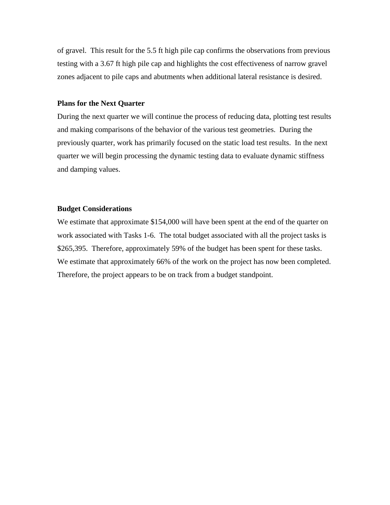of gravel. This result for the 5.5 ft high pile cap confirms the observations from previous testing with a 3.67 ft high pile cap and highlights the cost effectiveness of narrow gravel zones adjacent to pile caps and abutments when additional lateral resistance is desired.

## **Plans for the Next Quarter**

During the next quarter we will continue the process of reducing data, plotting test results and making comparisons of the behavior of the various test geometries. During the previously quarter, work has primarily focused on the static load test results. In the next quarter we will begin processing the dynamic testing data to evaluate dynamic stiffness and damping values.

## **Budget Considerations**

We estimate that approximate \$154,000 will have been spent at the end of the quarter on work associated with Tasks 1-6. The total budget associated with all the project tasks is \$265,395. Therefore, approximately 59% of the budget has been spent for these tasks. We estimate that approximately 66% of the work on the project has now been completed. Therefore, the project appears to be on track from a budget standpoint.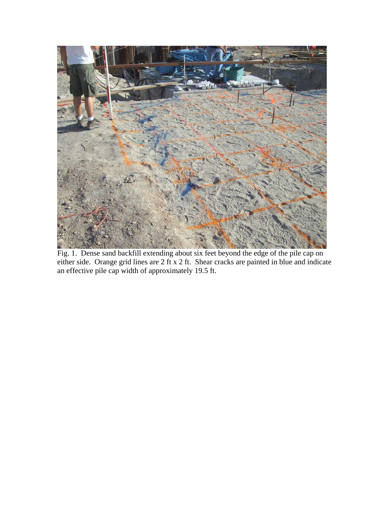

Fig. 1. Dense sand backfill extending about six feet beyond the edge of the pile cap on either side. Orange grid lines are 2 ft x 2 ft. Shear cracks are painted in blue and indicate an effective pile cap width of approximately 19.5 ft.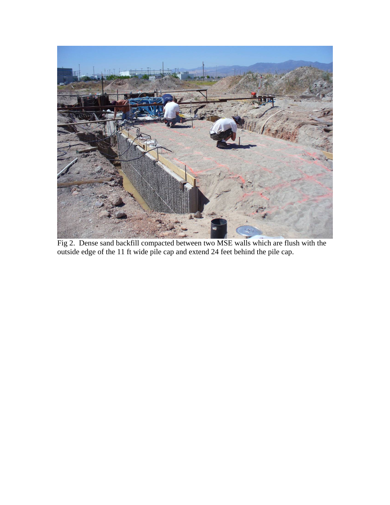

Fig 2. Dense sand backfill compacted between two MSE walls which are flush with the outside edge of the 11 ft wide pile cap and extend 24 feet behind the pile cap.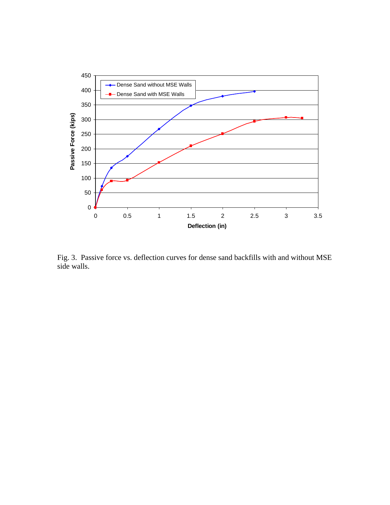

Fig. 3. Passive force vs. deflection curves for dense sand backfills with and without MSE side walls.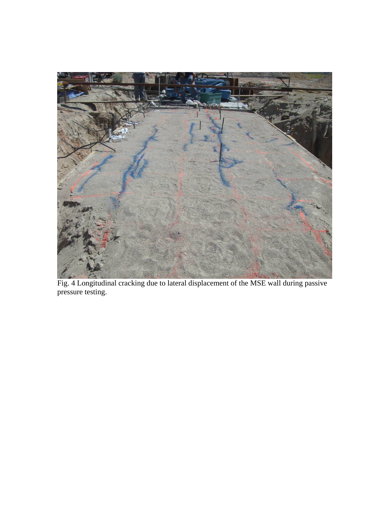

Fig. 4 Longitudinal cracking due to lateral displacement of the MSE wall during passive pressure testing.